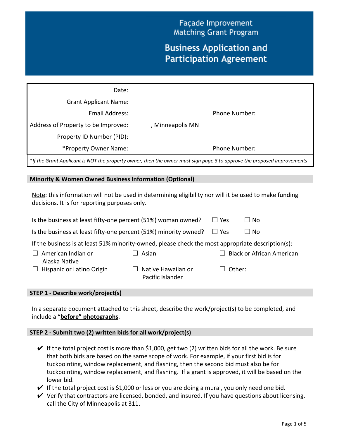Façade Improvement **Matching Grant Program** 

# **Business Application and Participation Agreement**

| Date:                               |                  |               |  |
|-------------------------------------|------------------|---------------|--|
| <b>Grant Applicant Name:</b>        |                  |               |  |
| Email Address:                      |                  | Phone Number: |  |
| Address of Property to be Improved: | , Minneapolis MN |               |  |
| Property ID Number (PID):           |                  |               |  |
| *Property Owner Name:               |                  | Phone Number: |  |

\*If the Grant Applicant is NOT the property owner, then the owner must sign page 3 to approve the proposed improvements

#### **Minority & Women Owned Business Information (Optional)**

Note: this information will not be used in determining eligibility nor will it be used to make funding decisions. It is for reporting purposes only.

| Is the business at least fifty-one percent (51%) woman owned?                                     | $\Box$ Yes                             | $\Box$ No   |                                  |  |
|---------------------------------------------------------------------------------------------------|----------------------------------------|-------------|----------------------------------|--|
| Is the business at least fifty-one percent (51%) minority owned?                                  | $\Box$ Yes                             | $\sqcup$ No |                                  |  |
| If the business is at least 51% minority-owned, please check the most appropriate description(s): |                                        |             |                                  |  |
| American Indian or<br>$\Box$<br>Alaska Native                                                     | Asian                                  |             | <b>Black or African American</b> |  |
| $\Box$ Hispanic or Latino Origin                                                                  | Native Hawaiian or<br>Pacific Islander | Other:      |                                  |  |

### **STEP 1 - Describe work/project(s)**

In a separate document attached to this sheet, describe the work/project(s) to be completed, and include a "**before" photographs**.

### **STEP 2 - Submit two (2) written bids for all work/project(s)**

- $\vee$  If the total project cost is more than \$1,000, get two (2) written bids for all the work. Be sure that both bids are based on the same scope of work. For example, if your first bid is for tuckpointing, window replacement, and flashing, then the second bid must also be for tuckpointing, window replacement, and flashing. If a grant is approved, it will be based on the lower bid.
- $\blacktriangleright$  If the total project cost is \$1,000 or less or you are doing a mural, you only need one bid.
- $\vee$  Verify that contractors are licensed, bonded, and insured. If you have questions about licensing, call the City of Minneapolis at 311.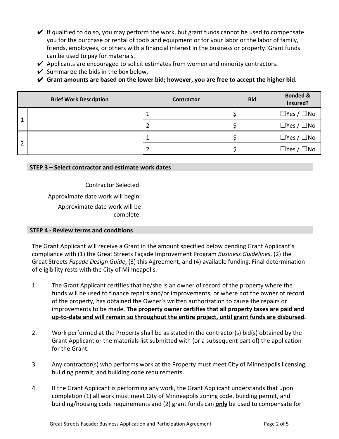- $\vee$  If qualified to do so, you may perform the work, but grant funds cannot be used to compensate you for the purchase or rental of tools and equipment or for your labor or the labor of family, friends, employees, or others with a financial interest in the business or property. Grant funds can be used to pay for materials.
- $\blacktriangleright$  Applicants are encouraged to solicit estimates from women and minority contractors.
- $\vee$  Summarize the bids in the box below.
- ✔ **Grant amounts are based on the lower bid; however, you are free to accept the higher bid.**

|                | <b>Brief Work Description</b> |   | Contractor | <b>Bid</b> | <b>Bonded &amp;</b><br>Insured? |
|----------------|-------------------------------|---|------------|------------|---------------------------------|
| 1              |                               | ᆂ |            |            | $\Box$ Yes / $\Box$ No          |
|                |                               | 2 |            |            | $\Box$ Yes / $\Box$ No          |
| $\overline{2}$ |                               | ᆂ |            |            | $\Box$ Yes / $\Box$ No          |
|                |                               | 2 |            |            | $\Box$ Yes / $\Box$ No          |

### **STEP 3 – Select contractor and estimate work dates**

Contractor Selected:

Approximate date work will begin: Approximate date work will be complete:

## **STEP 4 - Review terms and conditions**

The Grant Applicant will receive a Grant in the amount specified below pending Grant Applicant's compliance with (1) the Great Streets Façade Improvement Program *Business Guidelines*, (2) the Great Streets *Façade Design Guide*, (3) this Agreement, and (4) available funding. Final determination of eligibility rests with the City of Minneapolis.

- 1. The Grant Applicant certifies that he/she is an owner of record of the property where the funds will be used to finance repairs and/or improvements; or where not the owner of record of the property, has obtained the Owner's written authorization to cause the repairs or improvements to be made. **The property owner certifies that all property taxes are paid and up-to-date and will remain so throughout the entire project, until grant funds are disbursed.**
- 2. Work performed at the Property shall be as stated in the contractor(s) bid(s) obtained by the Grant Applicant or the materials list submitted with (or a subsequent part of) the application for the Grant.
- 3. Any contractor(s) who performs work at the Property must meet City of Minneapolis licensing, building permit, and building code requirements.
- 4. If the Grant Applicant is performing any work, the Grant Applicant understands that upon completion (1) all work must meet City of Minneapolis zoning code, building permit, and building/housing code requirements and (2) grant funds can **only** be used to compensate for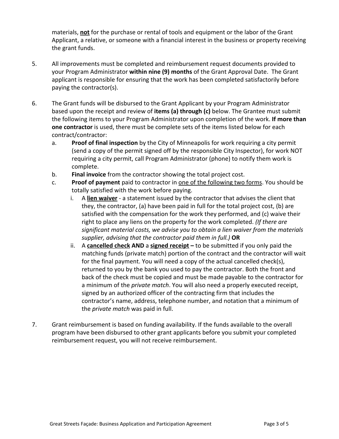materials, **not** for the purchase or rental of tools and equipment or the labor of the Grant Applicant, a relative, or someone with a financial interest in the business or property receiving the grant funds.

- 5. All improvements must be completed and reimbursement request documents provided to your Program Administrator **within nine (9) months** of the Grant Approval Date. The Grant applicant is responsible for ensuring that the work has been completed satisfactorily before paying the contractor(s).
- 6. The Grant funds will be disbursed to the Grant Applicant by your Program Administrator based upon the receipt and review of **items (a) through (c)** below. The Grantee must submit the following items to your Program Administrator upon completion of the work. **If more than one contractor** is used, there must be complete sets of the items listed below for each contract/contractor:
	- a. **Proof of final inspection** by the City of Minneapolis for work requiring a city permit (send a copy of the permit signed off by the responsible City Inspector), for work NOT requiring a city permit, call Program Administrator (phone) to notify them work is complete.
	- b. **Final invoice** from the contractor showing the total project cost.
	- c. **Proof of payment** paid to contractor in one of the following two forms. You should be totally satisfied with the work before paying.
		- i. A **lien waiver** a statement issued by the contractor that advises the client that they, the contractor, (a) have been paid in full for the total project cost, (b) are satisfied with the compensation for the work they performed, and (c) waive their right to place any liens on the property for the work completed. *(If there are significant material costs, we advise you to obtain a lien waiver from the materials supplier, advising that the contractor paid them in full.)* **OR**
		- ii. A **cancelled check AND** a **signed receipt** to be submitted if you only paid the matching funds (private match) portion of the contract and the contractor will wait for the final payment. You will need a copy of the actual cancelled check(s), returned to you by the bank you used to pay the contractor. Both the front and back of the check must be copied and must be made payable to the contractor for a minimum of the *private match*. You will also need a properly executed receipt, signed by an authorized officer of the contracting firm that includes the contractor's name, address, telephone number, and notation that a minimum of the *private match* was paid in full.
- 7. Grant reimbursement is based on funding availability. If the funds available to the overall program have been disbursed to other grant applicants before you submit your completed reimbursement request, you will not receive reimbursement.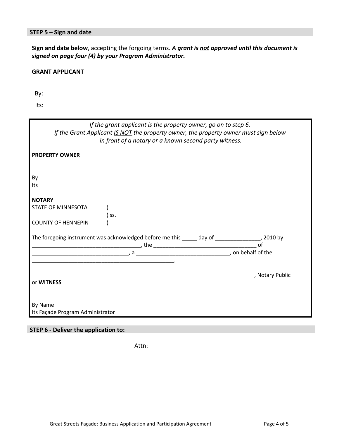## **STEP 5 – Sign and date**

**Sign and date below**, accepting the forgoing terms. *A grant is not approved until this document is signed on page four (4) by your Program Administrator.*

#### **GRANT APPLICANT**

By:

| Its:                                                                                                                                                                                                                  |                 |
|-----------------------------------------------------------------------------------------------------------------------------------------------------------------------------------------------------------------------|-----------------|
| If the grant applicant is the property owner, go on to step 6.<br>If the Grant Applicant IS NOT the property owner, the property owner must sign below<br>in front of a notary or a known second party witness.       |                 |
| <b>PROPERTY OWNER</b>                                                                                                                                                                                                 |                 |
| By<br>Its                                                                                                                                                                                                             |                 |
| <b>NOTARY</b><br>STATE OF MINNESOTA<br>) ss.                                                                                                                                                                          |                 |
| <b>COUNTY OF HENNEPIN</b>                                                                                                                                                                                             |                 |
| The foregoing instrument was acknowledged before me this _____ day of ________________, 2010 by<br>$\begin{array}{c}\n \text{, the}\n \end{array}$ of of $\begin{array}{c}\n \text{, or behalf of the}\n \end{array}$ |                 |
|                                                                                                                                                                                                                       |                 |
| or WITNESS                                                                                                                                                                                                            | , Notary Public |
| By Name<br>Its Façade Program Administrator                                                                                                                                                                           |                 |
|                                                                                                                                                                                                                       |                 |

## **STEP 6 - Deliver the application to:**

Attn: